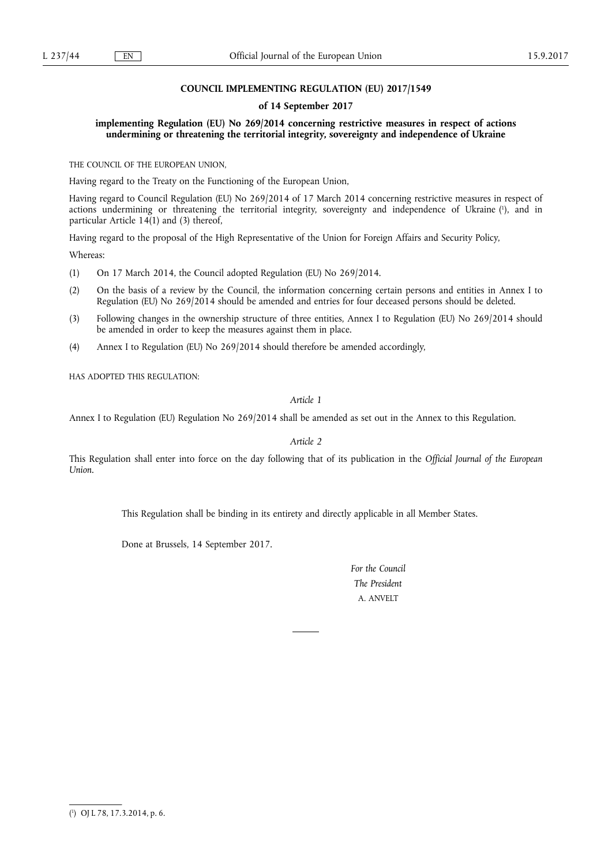#### **COUNCIL IMPLEMENTING REGULATION (EU) 2017/1549**

#### **of 14 September 2017**

**implementing Regulation (EU) No 269/2014 concerning restrictive measures in respect of actions undermining or threatening the territorial integrity, sovereignty and independence of Ukraine** 

THE COUNCIL OF THE EUROPEAN UNION,

Having regard to the Treaty on the Functioning of the European Union,

Having regard to Council Regulation (EU) No 269/2014 of 17 March 2014 concerning restrictive measures in respect of actions undermining or threatening the territorial integrity, sovereignty and independence of Ukraine ( 1 ), and in particular Article  $14(1)$  and (3) thereof,

Having regard to the proposal of the High Representative of the Union for Foreign Affairs and Security Policy,

Whereas:

- (1) On 17 March 2014, the Council adopted Regulation (EU) No 269/2014.
- (2) On the basis of a review by the Council, the information concerning certain persons and entities in Annex I to Regulation (EU) No 269/2014 should be amended and entries for four deceased persons should be deleted.
- (3) Following changes in the ownership structure of three entities, Annex I to Regulation (EU) No 269/2014 should be amended in order to keep the measures against them in place.
- (4) Annex I to Regulation (EU) No 269/2014 should therefore be amended accordingly,

HAS ADOPTED THIS REGULATION:

*Article 1* 

Annex I to Regulation (EU) Regulation No 269/2014 shall be amended as set out in the Annex to this Regulation.

*Article 2* 

This Regulation shall enter into force on the day following that of its publication in the *Official Journal of the European Union*.

This Regulation shall be binding in its entirety and directly applicable in all Member States.

Done at Brussels, 14 September 2017.

*For the Council The President*  A. ANVELT

<sup>(</sup> 1 ) OJ L 78, 17.3.2014, p. 6.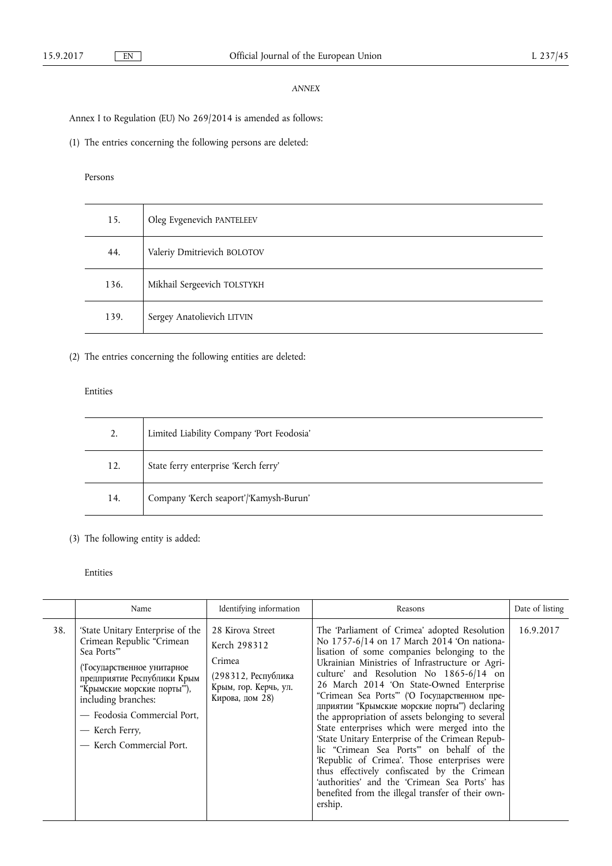### *ANNEX*

Annex I to Regulation (EU) No 269/2014 is amended as follows:

(1) The entries concerning the following persons are deleted:

### Persons

| 15.  | Oleg Evgenevich PANTELEEV   |
|------|-----------------------------|
| 44.  | Valeriy Dmitrievich BOLOTOV |
| 136. | Mikhail Sergeevich TOLSTYKH |
| 139. | Sergey Anatolievich LITVIN  |

### (2) The entries concerning the following entities are deleted:

### Entities

| 2.  | Limited Liability Company 'Port Feodosia' |
|-----|-------------------------------------------|
| 12. | State ferry enterprise 'Kerch ferry'      |
| 14. | Company 'Kerch seaport'/'Kamysh-Burun'    |

## (3) The following entity is added:

### Entities

|     | Name                                                                                                                                                                                                                                                                       | Identifying information                                                                                       | Reasons                                                                                                                                                                                                                                                                                                                                                                                                                                                                                                                                                                                                                                                                                                                                                                                                  | Date of listing |
|-----|----------------------------------------------------------------------------------------------------------------------------------------------------------------------------------------------------------------------------------------------------------------------------|---------------------------------------------------------------------------------------------------------------|----------------------------------------------------------------------------------------------------------------------------------------------------------------------------------------------------------------------------------------------------------------------------------------------------------------------------------------------------------------------------------------------------------------------------------------------------------------------------------------------------------------------------------------------------------------------------------------------------------------------------------------------------------------------------------------------------------------------------------------------------------------------------------------------------------|-----------------|
| 38. | 'State Unitary Enterprise of the<br>Crimean Republic "Crimean<br>Sea Ports"<br>(Тосударственное унитарное<br>предприятие Республики Крым<br>"Крымские морские порты"),<br>including branches:<br>- Feodosia Commercial Port,<br>— Kerch Ferry,<br>- Kerch Commercial Port. | 28 Kirova Street<br>Kerch 298312<br>Crimea<br>(298312, Республика<br>Крым, гор. Керчь, ул.<br>Кирова, дом 28) | The 'Parliament of Crimea' adopted Resolution<br>No 1757-6/14 on 17 March 2014 'On nationa-<br>lisation of some companies belonging to the<br>Ukrainian Ministries of Infrastructure or Agri-<br>culture' and Resolution No 1865-6/14 on<br>26 March 2014 'On State-Owned Enterprise<br>"Crimean Sea Ports"" ('О Государственном пре-<br>дприятии "Крымские морские порты") declaring<br>the appropriation of assets belonging to several<br>State enterprises which were merged into the<br>'State Unitary Enterprise of the Crimean Repub-<br>lic "Crimean Sea Ports" on behalf of the<br>'Republic of Crimea'. Those enterprises were<br>thus effectively confiscated by the Crimean<br>'authorities' and the 'Crimean Sea Ports' has<br>benefited from the illegal transfer of their own-<br>ership. | 16.9.2017       |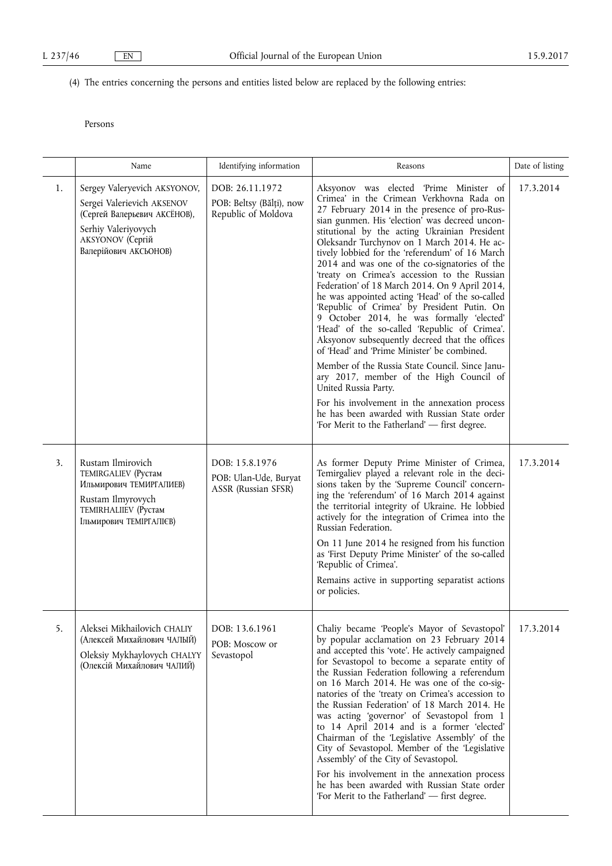# (4) The entries concerning the persons and entities listed below are replaced by the following entries:

## Persons

|    | Name                                                                                                                                                           | Identifying information                                            | Reasons                                                                                                                                                                                                                                                                                                                                                                                                                                                                                                                                                                                                                                                                                                                                                                                                                                                                                                                                                                                                                                                              | Date of listing |
|----|----------------------------------------------------------------------------------------------------------------------------------------------------------------|--------------------------------------------------------------------|----------------------------------------------------------------------------------------------------------------------------------------------------------------------------------------------------------------------------------------------------------------------------------------------------------------------------------------------------------------------------------------------------------------------------------------------------------------------------------------------------------------------------------------------------------------------------------------------------------------------------------------------------------------------------------------------------------------------------------------------------------------------------------------------------------------------------------------------------------------------------------------------------------------------------------------------------------------------------------------------------------------------------------------------------------------------|-----------------|
| 1. | Sergey Valeryevich AKSYONOV,<br>Sergei Valerievich AKSENOV<br>(Сергей Валерьевич АКСЁНОВ),<br>Serhiy Valeriyovych<br>AKSYONOV (Сергій<br>Валерійович АКСЬОНОВ) | DOB: 26.11.1972<br>POB: Beltsy (Bălți), now<br>Republic of Moldova | Aksyonov was elected 'Prime Minister of<br>Crimea' in the Crimean Verkhovna Rada on<br>27 February 2014 in the presence of pro-Rus-<br>sian gunmen. His 'election' was decreed uncon-<br>stitutional by the acting Ukrainian President<br>Oleksandr Turchynov on 1 March 2014. He ac-<br>tively lobbied for the 'referendum' of 16 March<br>2014 and was one of the co-signatories of the<br>'treaty on Crimea's accession to the Russian<br>Federation' of 18 March 2014. On 9 April 2014,<br>he was appointed acting 'Head' of the so-called<br>'Republic of Crimea' by President Putin. On<br>9 October 2014, he was formally 'elected'<br>'Head' of the so-called 'Republic of Crimea'.<br>Aksyonov subsequently decreed that the offices<br>of 'Head' and 'Prime Minister' be combined.<br>Member of the Russia State Council. Since Janu-<br>ary 2017, member of the High Council of<br>United Russia Party.<br>For his involvement in the annexation process<br>he has been awarded with Russian State order<br>'For Merit to the Fatherland' - first degree. | 17.3.2014       |
| 3. | Rustam Ilmirovich<br>TEMIRGALIEV (Рустам<br>Ильмирович ТЕМИРГАЛИЕВ)<br>Rustam Ilmyrovych<br>TEMIRHALIIEV (Pycram<br>Ільмирович ТЕМІРГАЛІЄВ)                    | DOB: 15.8.1976<br>POB: Ulan-Ude, Buryat<br>ASSR (Russian SFSR)     | As former Deputy Prime Minister of Crimea,<br>Temirgaliev played a relevant role in the deci-<br>sions taken by the 'Supreme Council' concern-<br>ing the 'referendum' of 16 March 2014 against<br>the territorial integrity of Ukraine. He lobbied<br>actively for the integration of Crimea into the<br>Russian Federation.<br>On 11 June 2014 he resigned from his function<br>as 'First Deputy Prime Minister' of the so-called<br>'Republic of Crimea'.<br>Remains active in supporting separatist actions<br>or policies.                                                                                                                                                                                                                                                                                                                                                                                                                                                                                                                                      | 17.3.2014       |
| 5. | Aleksei Mikhailovich CHALIY<br>(Алексей Михайлович ЧАЛЫЙ)<br>Oleksiy Mykhaylovych CHALYY<br>(Олексій Михайлович ЧАЛИЙ)                                         | DOB: 13.6.1961<br>POB: Moscow or<br>Sevastopol                     | Chaliy became 'People's Mayor of Sevastopol'<br>by popular acclamation on 23 February 2014<br>and accepted this 'vote'. He actively campaigned<br>for Sevastopol to become a separate entity of<br>the Russian Federation following a referendum<br>on 16 March 2014. He was one of the co-sig-<br>natories of the 'treaty on Crimea's accession to<br>the Russian Federation' of 18 March 2014. He<br>was acting 'governor' of Sevastopol from 1<br>to 14 April 2014 and is a former 'elected'<br>Chairman of the 'Legislative Assembly' of the<br>City of Sevastopol. Member of the 'Legislative<br>Assembly' of the City of Sevastopol.<br>For his involvement in the annexation process<br>he has been awarded with Russian State order<br>'For Merit to the Fatherland' - first degree.                                                                                                                                                                                                                                                                         | 17.3.2014       |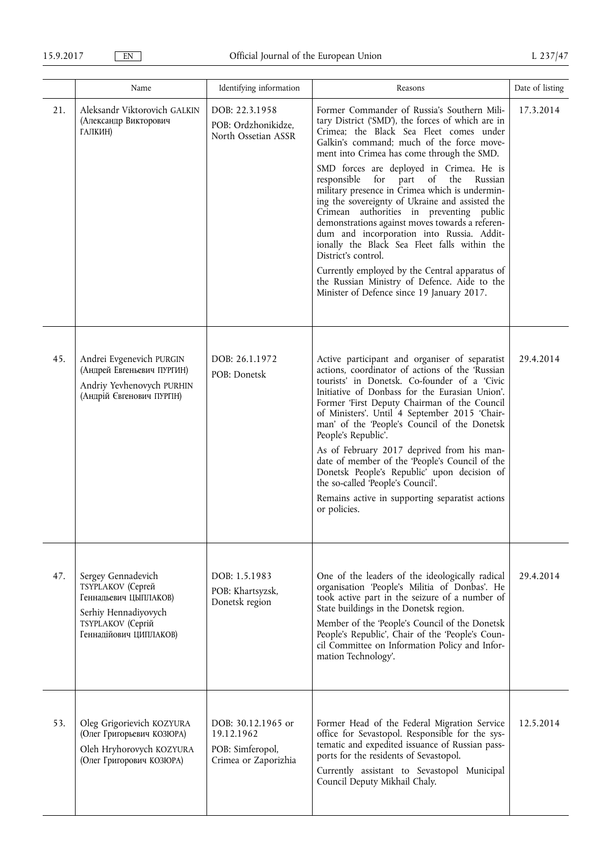|     | Name                                                                                                                                    | Identifying information                                                      | Reasons                                                                                                                                                                                                                                                                                                                                                                                                                                                                                                                                                                                                                                                                                                                                                                                                       | Date of listing |
|-----|-----------------------------------------------------------------------------------------------------------------------------------------|------------------------------------------------------------------------------|---------------------------------------------------------------------------------------------------------------------------------------------------------------------------------------------------------------------------------------------------------------------------------------------------------------------------------------------------------------------------------------------------------------------------------------------------------------------------------------------------------------------------------------------------------------------------------------------------------------------------------------------------------------------------------------------------------------------------------------------------------------------------------------------------------------|-----------------|
| 21. | Aleksandr Viktorovich GALKIN<br>(Александр Викторович<br>ГАЛКИН)                                                                        | DOB: 22.3.1958<br>POB: Ordzhonikidze,<br>North Ossetian ASSR                 | Former Commander of Russia's Southern Mili-<br>tary District ('SMD'), the forces of which are in<br>Crimea; the Black Sea Fleet comes under<br>Galkin's command; much of the force move-<br>ment into Crimea has come through the SMD.<br>SMD forces are deployed in Crimea. He is<br>responsible<br>for<br>part of<br>the<br>Russian<br>military presence in Crimea which is undermin-<br>ing the sovereignty of Ukraine and assisted the<br>Crimean authorities in preventing public<br>demonstrations against moves towards a referen-<br>dum and incorporation into Russia. Addit-<br>ionally the Black Sea Fleet falls within the<br>District's control.<br>Currently employed by the Central apparatus of<br>the Russian Ministry of Defence. Aide to the<br>Minister of Defence since 19 January 2017. | 17.3.2014       |
| 45. | Andrei Evgenevich PURGIN<br>(Андрей Евгеньевич ПУРГИН)<br>Andriy Yevhenovych PURHIN<br>(Андрій Євгенович ПУРГІН)                        | DOB: 26.1.1972<br>POB: Donetsk                                               | Active participant and organiser of separatist<br>actions, coordinator of actions of the 'Russian<br>tourists' in Donetsk. Co-founder of a 'Civic<br>Initiative of Donbass for the Eurasian Union'.<br>Former 'First Deputy Chairman of the Council<br>of Ministers'. Until 4 September 2015 'Chair-<br>man' of the 'People's Council of the Donetsk<br>People's Republic'.<br>As of February 2017 deprived from his man-<br>date of member of the 'People's Council of the<br>Donetsk People's Republic' upon decision of<br>the so-called 'People's Council'.<br>Remains active in supporting separatist actions<br>or policies.                                                                                                                                                                            | 29.4.2014       |
| 47. | Sergey Gennadevich<br>TSYPLAKOV (Сергей<br>Геннадьевич ЦЫПЛАКОВ)<br>Serhiy Hennadiyovych<br>TSYPLAKOV (Сергій<br>Геннадійович ЦИПЛАКОВ) | DOB: 1.5.1983<br>POB: Khartsyzsk,<br>Donetsk region                          | One of the leaders of the ideologically radical<br>organisation 'People's Militia of Donbas'. He<br>took active part in the seizure of a number of<br>State buildings in the Donetsk region.<br>Member of the 'People's Council of the Donetsk<br>People's Republic', Chair of the 'People's Coun-<br>cil Committee on Information Policy and Infor-<br>mation Technology'.                                                                                                                                                                                                                                                                                                                                                                                                                                   | 29.4.2014       |
| 53. | Oleg Grigorievich KOZYURA<br>(Олег Григорьевич КОЗЮРА)<br>Oleh Hryhorovych KOZYURA<br>(Олег Григорович КОЗЮРА)                          | DOB: 30.12.1965 or<br>19.12.1962<br>POB: Simferopol,<br>Crimea or Zaporizhia | Former Head of the Federal Migration Service<br>office for Sevastopol. Responsible for the sys-<br>tematic and expedited issuance of Russian pass-<br>ports for the residents of Sevastopol.<br>Currently assistant to Sevastopol Municipal<br>Council Deputy Mikhail Chaly.                                                                                                                                                                                                                                                                                                                                                                                                                                                                                                                                  | 12.5.2014       |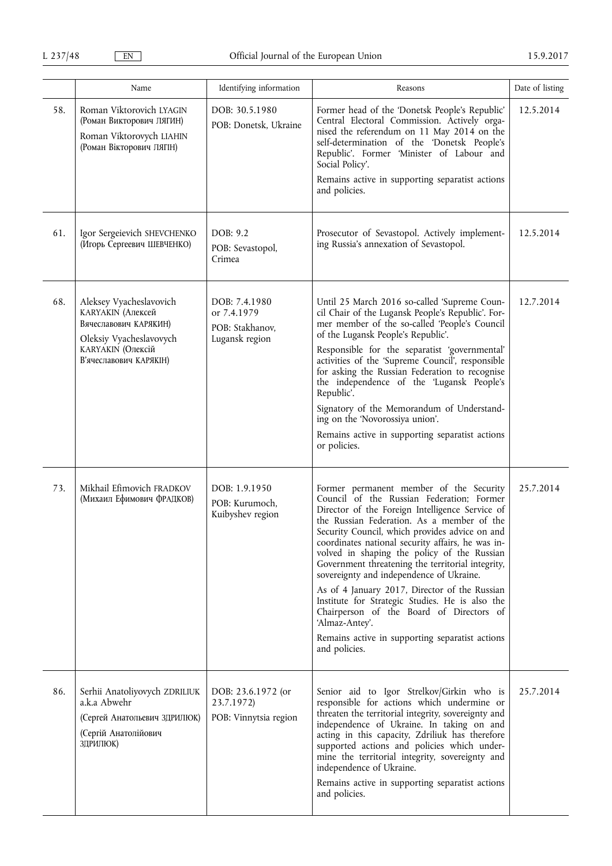|     | Name                                                                                                                                                          | Identifying information                                           | Reasons                                                                                                                                                                                                                                                                                                                                                                                                                                                                                                                                                                                                                                                                            | Date of listing |
|-----|---------------------------------------------------------------------------------------------------------------------------------------------------------------|-------------------------------------------------------------------|------------------------------------------------------------------------------------------------------------------------------------------------------------------------------------------------------------------------------------------------------------------------------------------------------------------------------------------------------------------------------------------------------------------------------------------------------------------------------------------------------------------------------------------------------------------------------------------------------------------------------------------------------------------------------------|-----------------|
| 58. | Roman Viktorovich LYAGIN<br>(Роман Викторович ЛЯГИН)<br>Roman Viktorovych LIAHIN<br>(Роман Вікторович ЛЯГІН)                                                  | DOB: 30.5.1980<br>POB: Donetsk, Ukraine                           | Former head of the 'Donetsk People's Republic'<br>Central Electoral Commission. Actively orga-<br>nised the referendum on 11 May 2014 on the<br>self-determination of the 'Donetsk People's<br>Republic'. Former 'Minister of Labour and<br>Social Policy'.                                                                                                                                                                                                                                                                                                                                                                                                                        | 12.5.2014       |
|     |                                                                                                                                                               |                                                                   | Remains active in supporting separatist actions<br>and policies.                                                                                                                                                                                                                                                                                                                                                                                                                                                                                                                                                                                                                   |                 |
| 61. | Igor Sergeievich SHEVCHENKO<br>(Игорь Сергеевич ШЕВЧЕНКО)                                                                                                     | DOB: 9.2<br>POB: Sevastopol,<br>Crimea                            | Prosecutor of Sevastopol. Actively implement-<br>ing Russia's annexation of Sevastopol.                                                                                                                                                                                                                                                                                                                                                                                                                                                                                                                                                                                            | 12.5.2014       |
| 68. | Aleksey Vyacheslavovich<br><b>КАRYAKIN</b> (Алексей<br>Вячеславович КАРЯКИН)<br>Oleksiy Vyacheslavovych<br><b>КАRYAKIN</b> (Олексій<br>В'ячеславович КАРЯКІН) | DOB: 7.4.1980<br>or 7.4.1979<br>POB: Stakhanov,<br>Lugansk region | Until 25 March 2016 so-called 'Supreme Coun-<br>cil Chair of the Lugansk People's Republic'. For-<br>mer member of the so-called 'People's Council<br>of the Lugansk People's Republic'.<br>Responsible for the separatist 'governmental'<br>activities of the 'Supreme Council', responsible<br>for asking the Russian Federation to recognise<br>the independence of the 'Lugansk People's<br>Republic'.<br>Signatory of the Memorandum of Understand-<br>ing on the 'Novorossiya union'.<br>Remains active in supporting separatist actions<br>or policies.                                                                                                                     | 12.7.2014       |
| 73. | Mikhail Efimovich FRADKOV<br>(Михаил Ефимович ФРАДКОВ)                                                                                                        | DOB: 1.9.1950<br>POB: Kurumoch,<br>Kuibyshev region               | Former permanent member of the Security<br>Council of the Russian Federation; Former<br>Director of the Foreign Intelligence Service of<br>the Russian Federation. As a member of the<br>Security Council, which provides advice on and<br>coordinates national security affairs, he was in-<br>volved in shaping the policy of the Russian<br>Government threatening the territorial integrity,<br>sovereignty and independence of Ukraine.<br>As of 4 January 2017, Director of the Russian<br>Institute for Strategic Studies. He is also the<br>Chairperson of the Board of Directors of<br>'Almaz-Antey'.<br>Remains active in supporting separatist actions<br>and policies. | 25.7.2014       |
| 86. | Serhii Anatoliyovych ZDRILIUK<br>a.k.a Abwehr<br>(Сергей Анатольевич ЗДРИЛЮК)<br>(Сергій Анатолійович<br>ЗДРИЛЮК)                                             | DOB: 23.6.1972 (or<br>23.7.1972)<br>POB: Vinnytsia region         | Senior aid to Igor Strelkov/Girkin who is<br>responsible for actions which undermine or<br>threaten the territorial integrity, sovereignty and<br>independence of Ukraine. In taking on and<br>acting in this capacity, Zdriliuk has therefore<br>supported actions and policies which under-<br>mine the territorial integrity, sovereignty and<br>independence of Ukraine.<br>Remains active in supporting separatist actions<br>and policies.                                                                                                                                                                                                                                   | 25.7.2014       |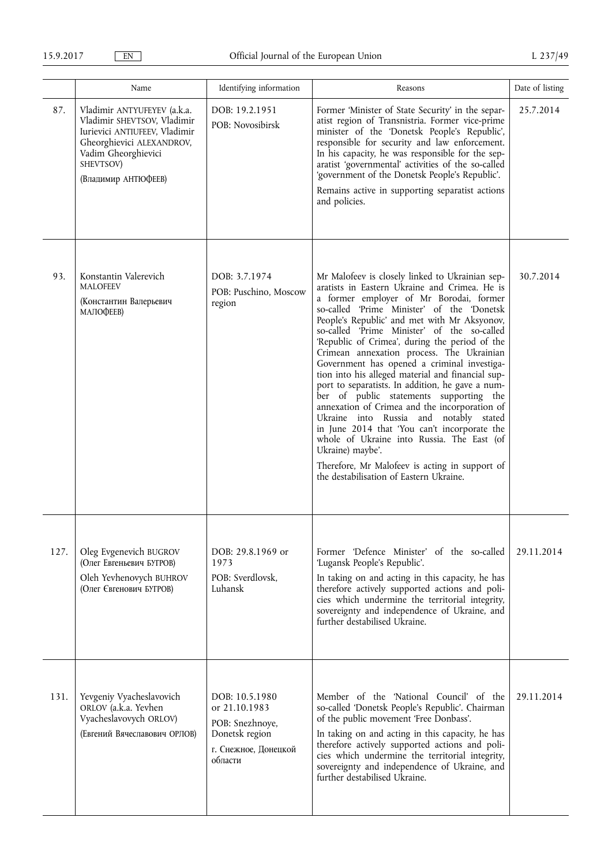|      | Name                                                                                                                                                                                | Identifying information                                                                                 | Reasons                                                                                                                                                                                                                                                                                                                                                                                                                                                                                                                                                                                                                                                                                                                                                                                                                                                                                              | Date of listing |
|------|-------------------------------------------------------------------------------------------------------------------------------------------------------------------------------------|---------------------------------------------------------------------------------------------------------|------------------------------------------------------------------------------------------------------------------------------------------------------------------------------------------------------------------------------------------------------------------------------------------------------------------------------------------------------------------------------------------------------------------------------------------------------------------------------------------------------------------------------------------------------------------------------------------------------------------------------------------------------------------------------------------------------------------------------------------------------------------------------------------------------------------------------------------------------------------------------------------------------|-----------------|
| 87.  | Vladimir ANTYUFEYEV (a.k.a.<br>Vladimir SHEVTSOV, Vladimir<br>Iurievici ANTIUFEEV, Vladimir<br>Gheorghievici ALEXANDROV,<br>Vadim Gheorghievici<br>SHEVTSOV)<br>(Владимир АНТЮФЕЕВ) | DOB: 19.2.1951<br>POB: Novosibirsk                                                                      | Former 'Minister of State Security' in the separ-<br>atist region of Transnistria. Former vice-prime<br>minister of the 'Donetsk People's Republic',<br>responsible for security and law enforcement.<br>In his capacity, he was responsible for the sep-<br>aratist 'governmental' activities of the so-called<br>'government of the Donetsk People's Republic'.<br>Remains active in supporting separatist actions<br>and policies.                                                                                                                                                                                                                                                                                                                                                                                                                                                                | 25.7.2014       |
| 93.  | Konstantin Valerevich<br><b>MALOFEEV</b><br>(Константин Валерьевич<br>МАЛОФЕЕВ)                                                                                                     | DOB: 3.7.1974<br>POB: Puschino, Moscow<br>region                                                        | Mr Malofeev is closely linked to Ukrainian sep-<br>aratists in Eastern Ukraine and Crimea. He is<br>a former employer of Mr Borodai, former<br>so-called 'Prime Minister' of the 'Donetsk<br>People's Republic' and met with Mr Aksyonov,<br>so-called 'Prime Minister' of the so-called<br>'Republic of Crimea', during the period of the<br>Crimean annexation process. The Ukrainian<br>Government has opened a criminal investiga-<br>tion into his alleged material and financial sup-<br>port to separatists. In addition, he gave a num-<br>ber of public statements supporting the<br>annexation of Crimea and the incorporation of<br>Ukraine into Russia and notably stated<br>in June 2014 that 'You can't incorporate the<br>whole of Ukraine into Russia. The East (of<br>Ukraine) maybe'.<br>Therefore, Mr Malofeev is acting in support of<br>the destabilisation of Eastern Ukraine. | 30.7.2014       |
| 127. | Oleg Evgenevich BUGROV<br>(Олег Евгеньевич БУГРОВ)<br>Oleh Yevhenovych BUHROV<br>(Олег Євгенович БУГРОВ)                                                                            | DOB: 29.8.1969 or<br>1973<br>POB: Sverdlovsk,<br>Luhansk                                                | Former 'Defence Minister' of the so-called<br>'Lugansk People's Republic'.<br>In taking on and acting in this capacity, he has<br>therefore actively supported actions and poli-<br>cies which undermine the territorial integrity,<br>sovereignty and independence of Ukraine, and<br>further destabilised Ukraine.                                                                                                                                                                                                                                                                                                                                                                                                                                                                                                                                                                                 | 29.11.2014      |
| 131. | Yevgeniy Vyacheslavovich<br>ORLOV (a.k.a. Yevhen<br>Vyacheslavovych ORLOV)<br>(Евгений Вячеславович ОРЛОВ)                                                                          | DOB: 10.5.1980<br>or 21.10.1983<br>POB: Snezhnoye,<br>Donetsk region<br>г. Снежное, Донецкой<br>области | Member of the 'National Council' of the<br>so-called 'Donetsk People's Republic'. Chairman<br>of the public movement 'Free Donbass'.<br>In taking on and acting in this capacity, he has<br>therefore actively supported actions and poli-<br>cies which undermine the territorial integrity,<br>sovereignty and independence of Ukraine, and<br>further destabilised Ukraine.                                                                                                                                                                                                                                                                                                                                                                                                                                                                                                                       | 29.11.2014      |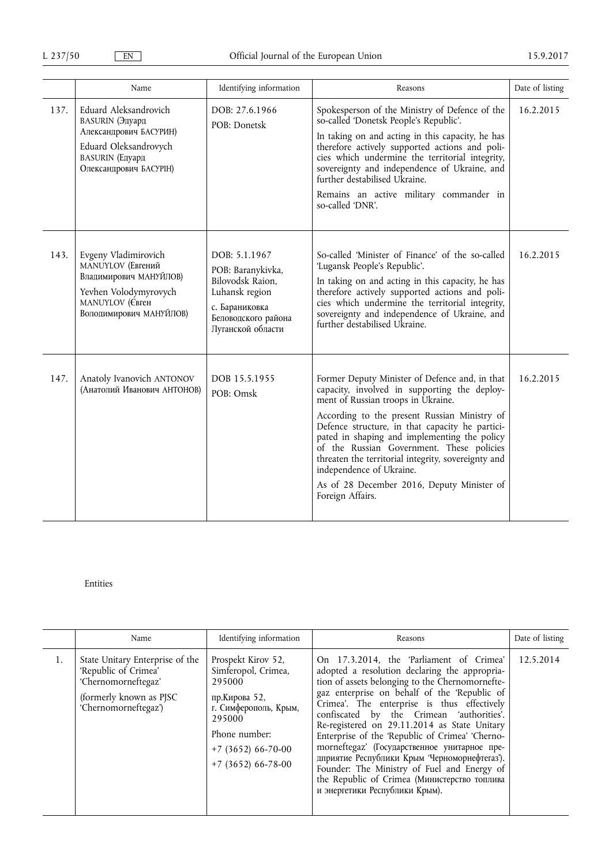|      | Name                                                                                                                                                   | Identifying information                                                                                                                | Reasons                                                                                                                                                                                                                                                                                                                                                                                                                                                                                   | Date of listing |
|------|--------------------------------------------------------------------------------------------------------------------------------------------------------|----------------------------------------------------------------------------------------------------------------------------------------|-------------------------------------------------------------------------------------------------------------------------------------------------------------------------------------------------------------------------------------------------------------------------------------------------------------------------------------------------------------------------------------------------------------------------------------------------------------------------------------------|-----------------|
| 137. | Eduard Aleksandrovich<br><b>BASURIN</b> (Эдуард<br>Александрович БАСУРИН)<br>Eduard Oleksandrovych<br><b>BASURIN</b> (Едуард<br>Олександрович БАСУРІН) | DOB: 27.6.1966<br>POB: Donetsk                                                                                                         | Spokesperson of the Ministry of Defence of the<br>so-called 'Donetsk People's Republic'.<br>In taking on and acting in this capacity, he has<br>therefore actively supported actions and poli-<br>cies which undermine the territorial integrity,<br>sovereignty and independence of Ukraine, and<br>further destabilised Ukraine.<br>Remains an active military commander in<br>so-called 'DNR'.                                                                                         | 16.2.2015       |
| 143. | Evgeny Vladimirovich<br>MANUYLOV (Евгений<br>Владимирович МАНУЙЛОВ)<br>Yevhen Volodymyrovych<br>MANUYLOV (Свген<br>Володимирович МАНУЙЛОВ)             | DOB: 5.1.1967<br>POB: Baranykivka,<br>Bilovodsk Raion,<br>Luhansk region<br>с. Бараниковка<br>Беловодского района<br>Луганской области | So-called 'Minister of Finance' of the so-called<br>'Lugansk People's Republic'.<br>In taking on and acting in this capacity, he has<br>therefore actively supported actions and poli-<br>cies which undermine the territorial integrity,<br>sovereignty and independence of Ukraine, and<br>further destabilised Ukraine.                                                                                                                                                                | 16.2.2015       |
| 147. | Anatoly Ivanovich ANTONOV<br>(Анатолий Иванович АНТОНОВ)                                                                                               | DOB 15.5.1955<br>POB: Omsk                                                                                                             | Former Deputy Minister of Defence and, in that<br>capacity, involved in supporting the deploy-<br>ment of Russian troops in Ukraine.<br>According to the present Russian Ministry of<br>Defence structure, in that capacity he partici-<br>pated in shaping and implementing the policy<br>of the Russian Government. These policies<br>threaten the territorial integrity, sovereignty and<br>independence of Ukraine.<br>As of 28 December 2016, Deputy Minister of<br>Foreign Affairs. | 16.2.2015       |

### Entities

|    | Name                                                                                                                               | Identifying information                                                                                                                                                  | Reasons                                                                                                                                                                                                                                                                                                                                                                                                                                                                                                                                                                                                                      | Date of listing |
|----|------------------------------------------------------------------------------------------------------------------------------------|--------------------------------------------------------------------------------------------------------------------------------------------------------------------------|------------------------------------------------------------------------------------------------------------------------------------------------------------------------------------------------------------------------------------------------------------------------------------------------------------------------------------------------------------------------------------------------------------------------------------------------------------------------------------------------------------------------------------------------------------------------------------------------------------------------------|-----------------|
| 1. | State Unitary Enterprise of the<br>'Republic of Crimea'<br>'Chernomorneftegaz'<br>(formerly known as PJSC)<br>'Chernomorneftegaz') | Prospekt Kirov 52,<br>Simferopol, Crimea,<br>295000<br>пр.Кирова 52,<br>г. Симферополь, Крым,<br>295000<br>Phone number:<br>$+7$ (3652) 66-70-00<br>$+7$ (3652) 66-78-00 | On 17.3.2014, the 'Parliament of Crimea'<br>adopted a resolution declaring the appropria-<br>tion of assets belonging to the Chernomornefte-<br>gaz enterprise on behalf of the 'Republic of<br>Crimea'. The enterprise is thus effectively<br>confiscated by the Crimean 'authorities'.<br>Re-registered on 29.11.2014 as State Unitary<br>Enterprise of the 'Republic of Crimea' 'Cherno-<br>morneftegaz' (Государственное унитарное пре-<br>дприятие Республики Крым Черноморнефтегаз').<br>Founder: The Ministry of Fuel and Energy of<br>the Republic of Crimea (Министерство топлива<br>и энергетики Республики Крым). | 12.5.2014       |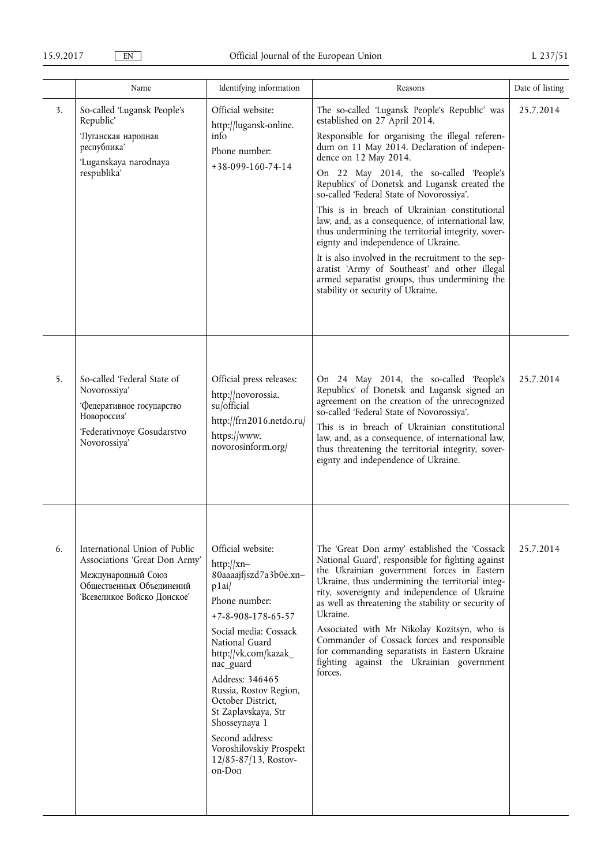|    | Name                                                                                                                                           | Identifying information                                                                                                                                                                                                                                                                                                                                                                               | Reasons                                                                                                                                                                                                                                                                                                                                                                                                                                                                                                                                                                                                                                                                                                                                            | Date of listing |
|----|------------------------------------------------------------------------------------------------------------------------------------------------|-------------------------------------------------------------------------------------------------------------------------------------------------------------------------------------------------------------------------------------------------------------------------------------------------------------------------------------------------------------------------------------------------------|----------------------------------------------------------------------------------------------------------------------------------------------------------------------------------------------------------------------------------------------------------------------------------------------------------------------------------------------------------------------------------------------------------------------------------------------------------------------------------------------------------------------------------------------------------------------------------------------------------------------------------------------------------------------------------------------------------------------------------------------------|-----------------|
| 3. | So-called 'Lugansk People's<br>Republic'<br>'Луганская народная<br>республика'<br>'Luganskaya narodnaya<br>respublika'                         | Official website:<br>http://lugansk-online.<br>info<br>Phone number:<br>$+38-099-160-74-14$                                                                                                                                                                                                                                                                                                           | The so-called 'Lugansk People's Republic' was<br>established on 27 April 2014.<br>Responsible for organising the illegal referen-<br>dum on 11 May 2014. Declaration of indepen-<br>dence on 12 May 2014.<br>On 22 May 2014, the so-called 'People's<br>Republics' of Donetsk and Lugansk created the<br>so-called 'Federal State of Novorossiya'.<br>This is in breach of Ukrainian constitutional<br>law, and, as a consequence, of international law,<br>thus undermining the territorial integrity, sover-<br>eignty and independence of Ukraine.<br>It is also involved in the recruitment to the sep-<br>aratist 'Army of Southeast' and other illegal<br>armed separatist groups, thus undermining the<br>stability or security of Ukraine. | 25.7.2014       |
| 5. | So-called 'Federal State of<br>Novorossiya'<br>Федеративное государство<br>Новороссия'<br>'Federativnoye Gosudarstvo<br>Novorossiya'           | Official press releases:<br>http://novorossia.<br>su/official<br>http://frn2016.netdo.ru/<br>https://www.<br>novorosinform.org/                                                                                                                                                                                                                                                                       | On 24 May 2014, the so-called 'People's<br>Republics' of Donetsk and Lugansk signed an<br>agreement on the creation of the unrecognized<br>so-called 'Federal State of Novorossiya'.<br>This is in breach of Ukrainian constitutional<br>law, and, as a consequence, of international law,<br>thus threatening the territorial integrity, sover-<br>eignty and independence of Ukraine.                                                                                                                                                                                                                                                                                                                                                            | 25.7.2014       |
| 6. | International Union of Public<br>Associations 'Great Don Army'<br>Международный Союз<br>Общественных Объединений<br>Всевеликое Войско Донское' | Official website:<br>$http://xn-$<br>80aaaajfjszd7a3b0e.xn-<br>p1ai/<br>Phone number:<br>$+7 - 8 - 908 - 178 - 65 - 57$<br>Social media: Cossack<br>National Guard<br>http://vk.com/kazak<br>nac_guard<br>Address: 346465<br>Russia, Rostov Region,<br>October District,<br>St Zaplavskaya, Str<br>Shosseynaya 1<br>Second address:<br>Voroshilovskiy Prospekt<br>$12/85 - 87/13$ , Rostov-<br>on-Don | The 'Great Don army' established the 'Cossack<br>National Guard', responsible for fighting against<br>the Ukrainian government forces in Eastern<br>Ukraine, thus undermining the territorial integ-<br>rity, sovereignty and independence of Ukraine<br>as well as threatening the stability or security of<br>Ukraine.<br>Associated with Mr Nikolay Kozitsyn, who is<br>Commander of Cossack forces and responsible<br>for commanding separatists in Eastern Ukraine<br>fighting against the Ukrainian government<br>forces.                                                                                                                                                                                                                    | 25.7.2014       |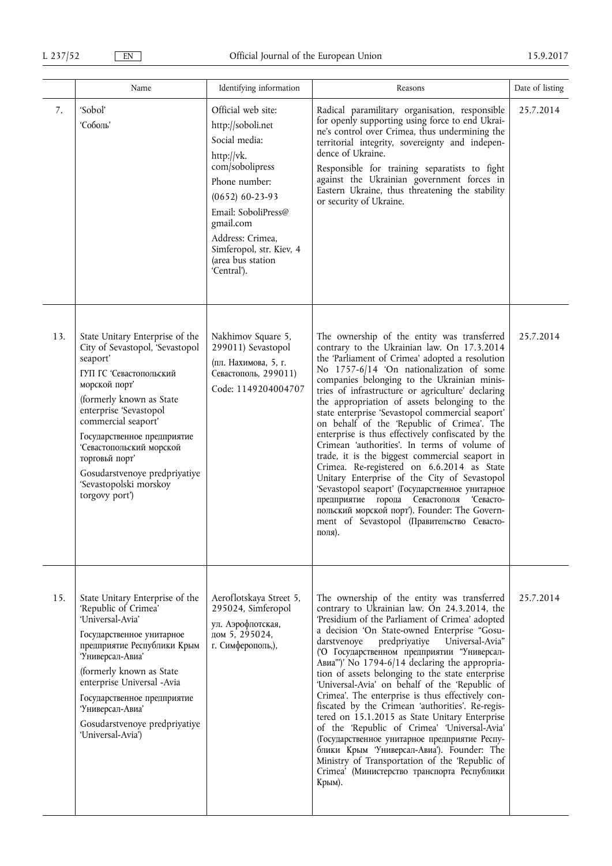|     | Name                                                                                                                                                                                                                                                                                                                                                             | Identifying information                                                                                                                                                                                                                                 | Reasons                                                                                                                                                                                                                                                                                                                                                                                                                                                                                                                                                                                                                                                                                                                                                                                                                                                                                                     | Date of listing |
|-----|------------------------------------------------------------------------------------------------------------------------------------------------------------------------------------------------------------------------------------------------------------------------------------------------------------------------------------------------------------------|---------------------------------------------------------------------------------------------------------------------------------------------------------------------------------------------------------------------------------------------------------|-------------------------------------------------------------------------------------------------------------------------------------------------------------------------------------------------------------------------------------------------------------------------------------------------------------------------------------------------------------------------------------------------------------------------------------------------------------------------------------------------------------------------------------------------------------------------------------------------------------------------------------------------------------------------------------------------------------------------------------------------------------------------------------------------------------------------------------------------------------------------------------------------------------|-----------------|
| 7.  | 'Sobol'<br>Соболь'                                                                                                                                                                                                                                                                                                                                               | Official web site:<br>http://soboli.net<br>Social media:<br>http://vk.<br>com/sobolipress<br>Phone number:<br>$(0652) 60-23-93$<br>Email: SoboliPress@<br>gmail.com<br>Address: Crimea,<br>Simferopol, str. Kiev, 4<br>(area bus station<br>'Central'). | Radical paramilitary organisation, responsible<br>for openly supporting using force to end Ukrai-<br>ne's control over Crimea, thus undermining the<br>territorial integrity, sovereignty and indepen-<br>dence of Ukraine.<br>Responsible for training separatists to fight<br>against the Ukrainian government forces in<br>Eastern Ukraine, thus threatening the stability<br>or security of Ukraine.                                                                                                                                                                                                                                                                                                                                                                                                                                                                                                    | 25.7.2014       |
| 13. | State Unitary Enterprise of the<br>City of Sevastopol, 'Sevastopol<br>seaport'<br>ГУП ГС 'Севастопольский<br>морской порт'<br>(formerly known as State<br>enterprise 'Sevastopol<br>commercial seaport'<br>Государственное предприятие<br>Севастопольский морской<br>торговьй порт'<br>Gosudarstvenoye predpriyatiye<br>'Sevastopolski morskoy<br>torgovy port') | Nakhimov Square 5,<br>299011) Sevastopol<br>(пл. Нахимова, 5, г.<br>Севастополь, 299011)<br>Code: 1149204004707                                                                                                                                         | The ownership of the entity was transferred<br>contrary to the Ukrainian law. On 17.3.2014<br>the 'Parliament of Crimea' adopted a resolution<br>No 1757-6/14 'On nationalization of some<br>companies belonging to the Ukrainian minis-<br>tries of infrastructure or agriculture' declaring<br>the appropriation of assets belonging to the<br>state enterprise 'Sevastopol commercial seaport'<br>on behalf of the 'Republic of Crimea'. The<br>enterprise is thus effectively confiscated by the<br>Crimean 'authorities'. In terms of volume of<br>trade, it is the biggest commercial seaport in<br>Crimea. Re-registered on 6.6.2014 as State<br>Unitary Enterprise of the City of Sevastopol<br>'Sevastopol seaport' (Государственное унитарное<br>предприятие города Севастополя Севасто-<br>польский морской порт'). Founder: The Govern-<br>ment of Sevastopol (Правительство Севасто-<br>поля). | 25.7.2014       |
| 15. | State Unitary Enterprise of the<br>'Republic of Crimea'<br>'Universal-Avia'<br>Государственное унитарное<br>предприятие Республики Крым<br>Универсал-Авиа'<br>(formerly known as State<br>enterprise Universal -Avia<br>Государственное предприятие<br>Чниверсал-Авиа'<br>Gosudarstvenoye predpriyatiye<br>'Universal-Avia')                                     | Aeroflotskaya Street 5,<br>295024, Simferopol<br>ул. Аэрофлотская,<br>дом 5, 295024,<br>г. Симферополь,),                                                                                                                                               | The ownership of the entity was transferred<br>contrary to Ukrainian law. On 24.3.2014, the<br>'Presidium of the Parliament of Crimea' adopted<br>a decision 'On State-owned Enterprise "Gosu-<br>predpriyatiye<br>Universal-Avia"<br>darstvenove<br>(О Государственном предприятии "Универсал-<br>Авиа")' No 1794-6/14 declaring the appropria-<br>tion of assets belonging to the state enterprise<br>'Universal-Avia' on behalf of the 'Republic of<br>Crimea'. The enterprise is thus effectively con-<br>fiscated by the Crimean 'authorities'. Re-regis-<br>tered on 15.1.2015 as State Unitary Enterprise<br>of the 'Republic of Crimea' 'Universal-Avia'<br>(Государственное унитарное предприятие Респу-<br>блики Крым <i>'</i> Универсал-Авиа'). Founder: The<br>Ministry of Transportation of the 'Republic of<br>Crimea' (Министерство транспорта Республики<br>Крым).                          | 25.7.2014       |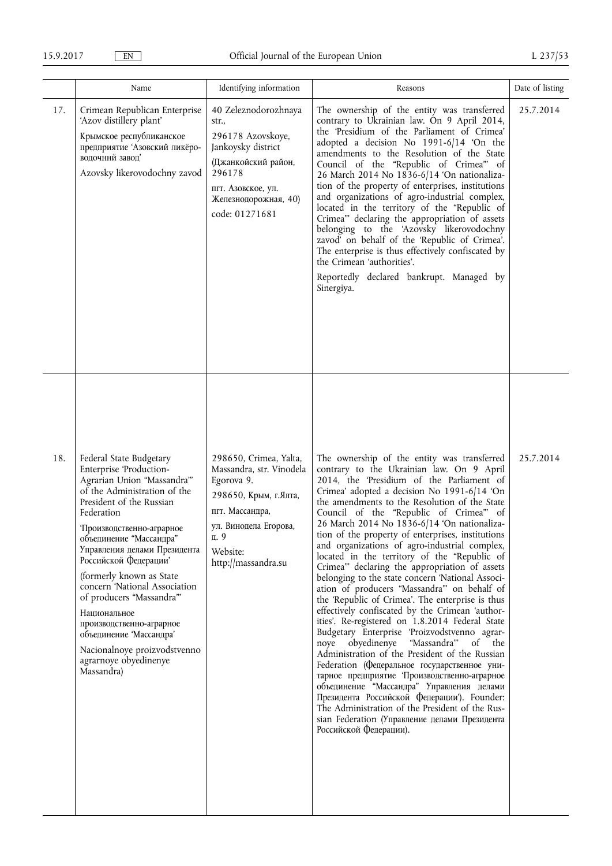|     | Name                                                                                                                                                                                                                                                                                                                                                                                                                                                                                                              | Identifying information                                                                                                                                                          | Reasons                                                                                                                                                                                                                                                                                                                                                                                                                                                                                                                                                                                                                                                                                                                                                                                                                                                                                                                                                                                                                                                                                                                                                                                                                                                              | Date of listing |
|-----|-------------------------------------------------------------------------------------------------------------------------------------------------------------------------------------------------------------------------------------------------------------------------------------------------------------------------------------------------------------------------------------------------------------------------------------------------------------------------------------------------------------------|----------------------------------------------------------------------------------------------------------------------------------------------------------------------------------|----------------------------------------------------------------------------------------------------------------------------------------------------------------------------------------------------------------------------------------------------------------------------------------------------------------------------------------------------------------------------------------------------------------------------------------------------------------------------------------------------------------------------------------------------------------------------------------------------------------------------------------------------------------------------------------------------------------------------------------------------------------------------------------------------------------------------------------------------------------------------------------------------------------------------------------------------------------------------------------------------------------------------------------------------------------------------------------------------------------------------------------------------------------------------------------------------------------------------------------------------------------------|-----------------|
| 17. | Crimean Republican Enterprise<br>'Azov distillery plant'<br>Крымское республиканское<br>предприятие 'Азовский ликёро-<br>водочний завод'<br>Azovsky likerovodochny zavod                                                                                                                                                                                                                                                                                                                                          | 40 Zeleznodorozhnaya<br>str.,<br>296178 Azovskoye,<br>Jankoysky district<br>(Джанкойский район,<br>296178<br>пгт. Азовское, ул.<br>Железнодорожная, 40)<br>code: 01271681        | The ownership of the entity was transferred<br>contrary to Ukrainian law. On 9 April 2014,<br>the 'Presidium of the Parliament of Crimea'<br>adopted a decision No 1991-6/14 'On the<br>amendments to the Resolution of the State<br>Council of the "Republic of Crimea" of<br>26 March 2014 No 1836-6/14 'On nationaliza-<br>tion of the property of enterprises, institutions<br>and organizations of agro-industrial complex,<br>located in the territory of the "Republic of<br>Crimea" declaring the appropriation of assets<br>belonging to the 'Azovsky likerovodochny<br>zavod' on behalf of the 'Republic of Crimea'.<br>The enterprise is thus effectively confiscated by<br>the Crimean 'authorities'.<br>Reportedly declared bankrupt. Managed by<br>Sinergiya.                                                                                                                                                                                                                                                                                                                                                                                                                                                                                          | 25.7.2014       |
| 18. | Federal State Budgetary<br>Enterprise 'Production-<br>Agrarian Union "Massandra"<br>of the Administration of the<br>President of the Russian<br>Federation<br>Производственно-аграрное<br>объединение "Массандра"<br>Управления делами Президента<br>Российской Федерации'<br>(formerly known as State<br>concern 'National Association<br>of producers "Massandra"<br>Национальное<br>производственно-аграрное<br>объединение 'Массандра'<br>Nacionalnoye proizvodstvenno<br>agrarnoye obyedinenye<br>Massandra) | 298650, Crimea, Yalta,<br>Massandra, str. Vinodela<br>Egorova 9.<br>298650, Крым, г.Ялта,<br>пгт. Массандра,<br>ул. Винодела Егорова,<br>д. 9<br>Website:<br>http://massandra.su | The ownership of the entity was transferred<br>contrary to the Ukrainian law. On 9 April<br>2014, the 'Presidium of the Parliament of<br>Crimea' adopted a decision No 1991-6/14 'On<br>the amendments to the Resolution of the State<br>Council of the "Republic of Crimea" of<br>26 March 2014 No 1836-6/14 'On nationaliza-<br>tion of the property of enterprises, institutions<br>and organizations of agro-industrial complex,<br>located in the territory of the "Republic of<br>Crimea" declaring the appropriation of assets<br>belonging to the state concern 'National Associ-<br>ation of producers "Massandra" on behalf of<br>the 'Republic of Crimea'. The enterprise is thus<br>effectively confiscated by the Crimean 'author-<br>ities'. Re-registered on 1.8.2014 Federal State<br>Budgetary Enterprise 'Proizvodstvenno agrar-<br>noye obyedinenye "Massandra" of the<br>Administration of the President of the Russian<br>Federation (Федеральное государственное уни-<br>тарное предприятие Производственно-аграрное<br>объединение "Массандра" Управления делами<br>Президента Российской Федерации'). Founder:<br>The Administration of the President of the Rus-<br>sian Federation (Управление делами Президента<br>Российской Федерации). | 25.7.2014       |
|     |                                                                                                                                                                                                                                                                                                                                                                                                                                                                                                                   |                                                                                                                                                                                  |                                                                                                                                                                                                                                                                                                                                                                                                                                                                                                                                                                                                                                                                                                                                                                                                                                                                                                                                                                                                                                                                                                                                                                                                                                                                      |                 |
|     |                                                                                                                                                                                                                                                                                                                                                                                                                                                                                                                   |                                                                                                                                                                                  |                                                                                                                                                                                                                                                                                                                                                                                                                                                                                                                                                                                                                                                                                                                                                                                                                                                                                                                                                                                                                                                                                                                                                                                                                                                                      |                 |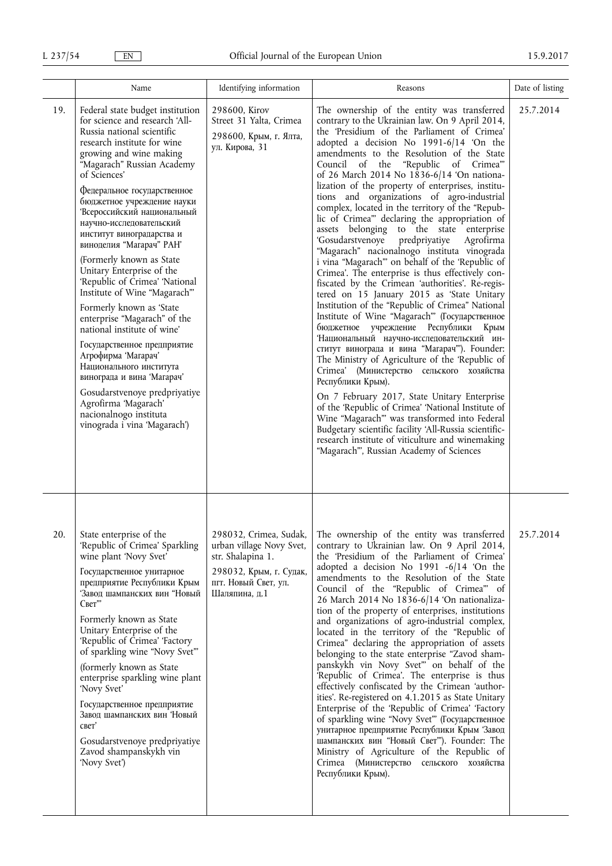|     | Name                                                                                                                                                                                                                                                                                                                                                                                                                                                                                                                                                                                                                                                                                                                                                                                                                                             | Identifying information                                                                                                                     | Reasons                                                                                                                                                                                                                                                                                                                                                                                                                                                                                                                                                                                                                                                                                                                                                                                                                                                                                                                                                                                                                                                                                                                                                                                                                                                                                                                                                                                                                                                                                                                                                                | Date of listing |
|-----|--------------------------------------------------------------------------------------------------------------------------------------------------------------------------------------------------------------------------------------------------------------------------------------------------------------------------------------------------------------------------------------------------------------------------------------------------------------------------------------------------------------------------------------------------------------------------------------------------------------------------------------------------------------------------------------------------------------------------------------------------------------------------------------------------------------------------------------------------|---------------------------------------------------------------------------------------------------------------------------------------------|------------------------------------------------------------------------------------------------------------------------------------------------------------------------------------------------------------------------------------------------------------------------------------------------------------------------------------------------------------------------------------------------------------------------------------------------------------------------------------------------------------------------------------------------------------------------------------------------------------------------------------------------------------------------------------------------------------------------------------------------------------------------------------------------------------------------------------------------------------------------------------------------------------------------------------------------------------------------------------------------------------------------------------------------------------------------------------------------------------------------------------------------------------------------------------------------------------------------------------------------------------------------------------------------------------------------------------------------------------------------------------------------------------------------------------------------------------------------------------------------------------------------------------------------------------------------|-----------------|
| 19. | Federal state budget institution<br>for science and research 'All-<br>Russia national scientific<br>research institute for wine<br>growing and wine making<br>"Magarach" Russian Academy<br>of Sciences'<br>Федеральное государственное<br>бюджетное учреждение науки<br>Всероссийский национальный<br>научно-исследовательский<br>институт виноградарства и<br>виноделия "Магарач" РАН"<br>(Formerly known as State<br>Unitary Enterprise of the<br>'Republic of Crimea' 'National<br>Institute of Wine "Magarach"<br>Formerly known as 'State<br>enterprise "Magarach" of the<br>national institute of wine'<br>Государственное предприятие<br>Агрофирма 'Магарач'<br>Национального института<br>винограда и вина 'Магарач'<br>Gosudarstvenoye predpriyatiye<br>Agrofirma 'Magarach'<br>nacionalnogo instituta<br>vinograda i vina 'Magarach') | 298600, Kirov<br>Street 31 Yalta, Crimea<br>298600, Крым, г. Ялта,<br>ул. Кирова, 31                                                        | The ownership of the entity was transferred<br>contrary to the Ukrainian law. On 9 April 2014,<br>the 'Presidium of the Parliament of Crimea'<br>adopted a decision No 1991-6/14 'On the<br>amendments to the Resolution of the State<br>Council of the "Republic of Crimea"<br>of 26 March 2014 No 1836-6/14 'On nationa-<br>lization of the property of enterprises, institu-<br>tions and organizations of agro-industrial<br>complex, located in the territory of the "Repub-<br>lic of Crimea" declaring the appropriation of<br>assets belonging to the state enterprise<br>'Gosudarstvenoye<br>predpriyatiye<br>Agrofirma<br>"Magarach" nacionalnogo instituta vinograda<br>i vina "Magarach" on behalf of the 'Republic of<br>Crimea'. The enterprise is thus effectively con-<br>fiscated by the Crimean 'authorities'. Re-regis-<br>tered on 15 January 2015 as 'State Unitary<br>Institution of the "Republic of Crimea" National<br>Institute of Wine "Magarach" (Государственное<br>бюджетное учреждение Республики Крым<br>Национальный научно-исследовательский ин-<br>ститут винограда и вина "Marapaч"). Founder:<br>The Ministry of Agriculture of the 'Republic of<br>Crimea' (Министерство сельского хозяйства<br>Республики Крым).<br>On 7 February 2017, State Unitary Enterprise<br>of the 'Republic of Crimea' 'National Institute of<br>Wine "Magarach" was transformed into Federal<br>Budgetary scientific facility 'All-Russia scientific-<br>research institute of viticulture and winemaking<br>"Magarach"', Russian Academy of Sciences | 25.7.2014       |
| 20. | State enterprise of the<br>'Republic of Crimea' Sparkling<br>wine plant 'Novy Svet'<br>Государственное унитарное<br>предприятие Республики Крым<br>Завод шампанских вин "Новый<br>Свет"<br>Formerly known as State<br>Unitary Enterprise of the<br>'Republic of Crimea' 'Factory<br>of sparkling wine "Novy Svet"<br>(formerly known as State<br>enterprise sparkling wine plant<br>'Novy Svet'<br>Государственное предприятие<br>Завод шампанских вин 'Новый<br>свет'<br>Gosudarstvenoye predpriyatiye<br>Zavod shampanskykh vin<br>'Novy Svet')                                                                                                                                                                                                                                                                                                | 298032, Crimea, Sudak,<br>urban village Novy Svet,<br>str. Shalapina 1.<br>298032, Крым, г. Судак,<br>пгт. Новый Свет, ул.<br>Шаляпина, д.1 | The ownership of the entity was transferred<br>contrary to Ukrainian law. On 9 April 2014,<br>the 'Presidium of the Parliament of Crimea'<br>adopted a decision No 1991 -6/14 'On the<br>amendments to the Resolution of the State<br>Council of the "Republic of Crimea" of<br>26 March 2014 No 1836-6/14 'On nationaliza-<br>tion of the property of enterprises, institutions<br>and organizations of agro-industrial complex,<br>located in the territory of the "Republic of<br>Crimea" declaring the appropriation of assets<br>belonging to the state enterprise "Zavod sham-<br>panskykh vin Novy Svet" on behalf of the<br>'Republic of Crimea'. The enterprise is thus<br>effectively confiscated by the Crimean 'author-<br>ities'. Re-registered on 4.1.2015 as State Unitary<br>Enterprise of the 'Republic of Crimea' 'Factory<br>of sparkling wine "Novy Svet" (Государственное<br>унитарное предприятие Республики Крым 'Завод<br>шампанских вин "Новый Свет"). Founder: The<br>Ministry of Agriculture of the Republic of<br>Стітеа (Министерство сельского хозяйства<br>Республики Крым).                                                                                                                                                                                                                                                                                                                                                                                                                                                            | 25.7.2014       |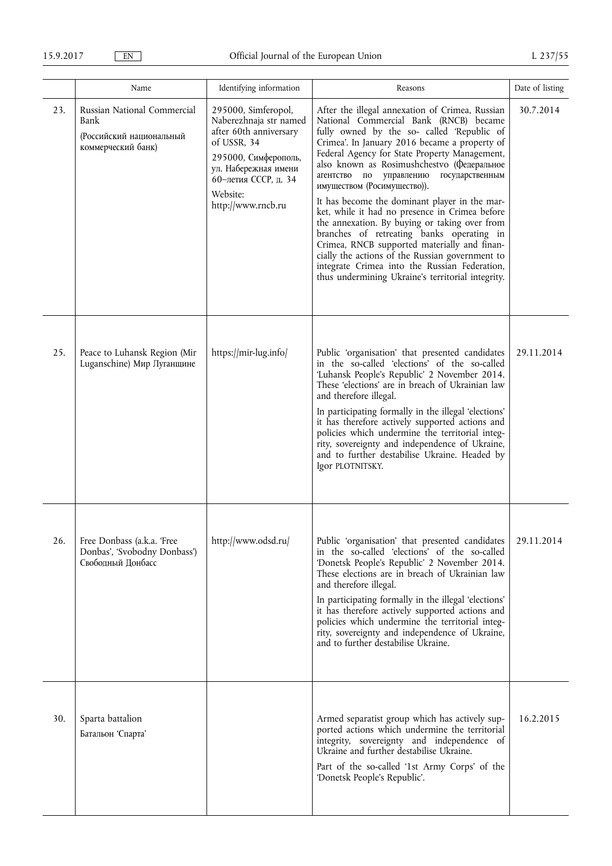|     | Name                                                                                  | Identifying information                                                                                                                                                                          | Reasons                                                                                                                                                                                                                                                                                                                                                                                                                                                                                                                                                                                                                                                                                                                                                                           | Date of listing |
|-----|---------------------------------------------------------------------------------------|--------------------------------------------------------------------------------------------------------------------------------------------------------------------------------------------------|-----------------------------------------------------------------------------------------------------------------------------------------------------------------------------------------------------------------------------------------------------------------------------------------------------------------------------------------------------------------------------------------------------------------------------------------------------------------------------------------------------------------------------------------------------------------------------------------------------------------------------------------------------------------------------------------------------------------------------------------------------------------------------------|-----------------|
| 23. | Russian National Commercial<br>Bank<br>(Российский национальный<br>коммерческий банк) | 295000, Simferopol,<br>Naberezhnaja str named<br>after 60th anniversary<br>of USSR, 34<br>295000, Симферополь,<br>ул. Набережная имени<br>60-летия СССР, д. 34<br>Website:<br>http://www.rncb.ru | After the illegal annexation of Crimea, Russian<br>National Commercial Bank (RNCB) became<br>fully owned by the so- called 'Republic of<br>Crimea'. In January 2016 became a property of<br>Federal Agency for State Property Management,<br>also known as Rosimushchestvo (Федеральное<br>государственным<br>агентство по<br>управлению<br>имуществом (Росимущество)).<br>It has become the dominant player in the mar-<br>ket, while it had no presence in Crimea before<br>the annexation. By buying or taking over from<br>branches of retreating banks operating in<br>Crimea, RNCB supported materially and finan-<br>cially the actions of the Russian government to<br>integrate Crimea into the Russian Federation,<br>thus undermining Ukraine's territorial integrity. | 30.7.2014       |
| 25. | Peace to Luhansk Region (Mir<br>Luganschine) Мир Луганщине                            | https://mir-lug.info/                                                                                                                                                                            | Public 'organisation' that presented candidates<br>in the so-called 'elections' of the so-called<br>'Luhansk People's Republic' 2 November 2014.<br>These 'elections' are in breach of Ukrainian law<br>and therefore illegal.<br>In participating formally in the illegal 'elections'<br>it has therefore actively supported actions and<br>policies which undermine the territorial integ-<br>rity, sovereignty and independence of Ukraine,<br>and to further destabilise Ukraine. Headed by<br>Igor PLOTNITSKY.                                                                                                                                                                                                                                                               | 29.11.2014      |
| 26. | Free Donbass (a.k.a. 'Free<br>Donbas', 'Svobodny Donbass')<br>Свободный Донбасс       | http://www.odsd.ru/                                                                                                                                                                              | Public 'organisation' that presented candidates<br>in the so-called 'elections' of the so-called<br>'Donetsk People's Republic' 2 November 2014.<br>These elections are in breach of Ukrainian law<br>and therefore illegal.<br>In participating formally in the illegal 'elections'<br>it has therefore actively supported actions and<br>policies which undermine the territorial integ-<br>rity, sovereignty and independence of Ukraine,<br>and to further destabilise Ukraine.                                                                                                                                                                                                                                                                                               | 29.11.2014      |
| 30. | Sparta battalion<br>Батальон 'Спарта'                                                 |                                                                                                                                                                                                  | Armed separatist group which has actively sup-<br>ported actions which undermine the territorial<br>integrity, sovereignty and independence of<br>Ukraine and further destabilise Ukraine.<br>Part of the so-called '1st Army Corps' of the<br>'Donetsk People's Republic'.                                                                                                                                                                                                                                                                                                                                                                                                                                                                                                       | 16.2.2015       |